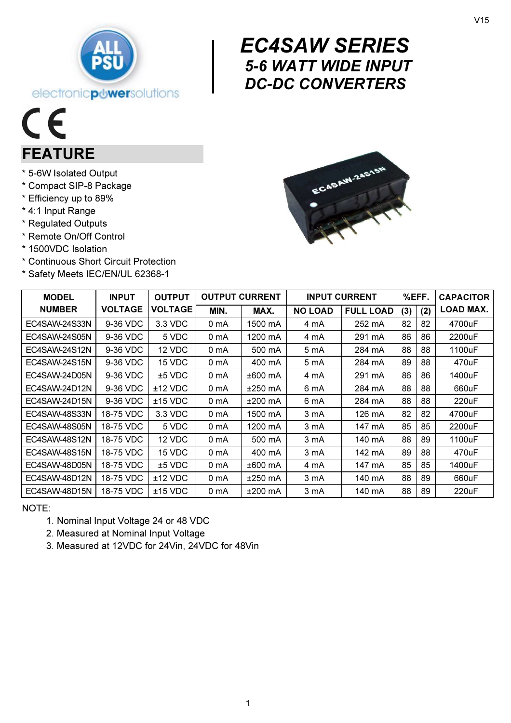

# $\begin{array}{c} \begin{array}{c} E \left( \begin{array}{c} 0 \\ 5 \end{array} \right) \\ \begin{array}{c} 0 \end{array} \end{array} \end{array}$  EC4SAW SERIES 5-6 WATT WIDE INPUT DC-DC CONVERTERS

# $C\epsilon$ FEATURE

- \* 5-6W Isolated Output
- \* Compact SIP-8 Package
- \* Efficiency up to 89%
- \* 4:1 Input Range
- \* Regulated Outputs
- \* Remote On/Off Control
- \* 1500VDC Isolation
- \* Continuous Short Circuit Protection
- \* Safety Meets IEC/EN/UL 62368-1



| <b>MODEL</b>  | <b>INPUT</b>   | <b>OUTPUT</b>  | <b>OUTPUT CURRENT</b> |           | <b>INPUT CURRENT</b> |                  | %EFF. |     | <b>CAPACITOR</b> |
|---------------|----------------|----------------|-----------------------|-----------|----------------------|------------------|-------|-----|------------------|
| <b>NUMBER</b> | <b>VOLTAGE</b> | <b>VOLTAGE</b> | MIN.                  | MAX.      | <b>NO LOAD</b>       | <b>FULL LOAD</b> | (3)   | (2) | LOAD MAX.        |
| EC4SAW-24S33N | 9-36 VDC       | 3.3 VDC        | 0 mA                  | 1500 mA   | 4 mA                 | 252 mA           | 82    | 82  | 4700uF           |
| EC4SAW-24S05N | 9-36 VDC       | 5 VDC          | 0 mA                  | 1200 mA   | 4 mA                 | 291 mA           | 86    | 86  | 2200uF           |
| EC4SAW-24S12N | 9-36 VDC       | 12 VDC         | 0 mA                  | 500 mA    | 5 mA                 | 284 mA           | 88    | 88  | 1100uF           |
| EC4SAW-24S15N | 9-36 VDC       | 15 VDC         | 0 mA                  | 400 mA    | 5 mA                 | 284 mA           | 89    | 88  | 470uF            |
| EC4SAW-24D05N | 9-36 VDC       | $±5$ VDC       | 0 mA                  | ±600 mA   | 4 mA                 | 291 mA           | 86    | 86  | 1400uF           |
| EC4SAW-24D12N | 9-36 VDC       | $±12$ VDC      | 0 mA                  | $±250$ mA | 6 mA                 | 284 mA           | 88    | 88  | 660uF            |
| EC4SAW-24D15N | 9-36 VDC       | $±15$ VDC      | 0 mA                  | ±200 mA   | 6 mA                 | 284 mA           | 88    | 88  | 220uF            |
| EC4SAW-48S33N | 18-75 VDC      | 3.3 VDC        | 0 mA                  | 1500 mA   | 3 mA                 | 126 mA           | 82    | 82  | 4700uF           |
| EC4SAW-48S05N | 18-75 VDC      | 5 VDC          | 0 mA                  | 1200 mA   | 3 mA                 | 147 mA           | 85    | 85  | 2200uF           |
| EC4SAW-48S12N | 18-75 VDC      | 12 VDC         | 0 mA                  | 500 mA    | 3 mA                 | 140 mA           | 88    | 89  | 1100uF           |
| EC4SAW-48S15N | 18-75 VDC      | 15 VDC         | 0 mA                  | 400 mA    | 3 mA                 | 142 mA           | 89    | 88  | 470uF            |
| EC4SAW-48D05N | 18-75 VDC      | $±5$ VDC       | 0 mA                  | ±600 mA   | 4 mA                 | 147 mA           | 85    | 85  | 1400uF           |
| EC4SAW-48D12N | 18-75 VDC      | $±12$ VDC      | 0 mA                  | $±250$ mA | 3 mA                 | 140 mA           | 88    | 89  | 660uF            |
| EC4SAW-48D15N | 18-75 VDC      | $±15$ VDC      | 0 mA                  | $±200$ mA | 3 mA                 | 140 mA           | 88    | 89  | 220uF            |

NOTE:

1. Nominal Input Voltage 24 or 48 VDC

2. Measured at Nominal Input Voltage

3. Measured at 12VDC for 24Vin, 24VDC for 48Vin